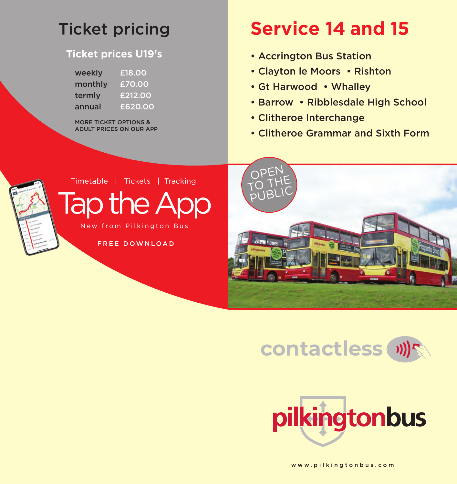## Ticket pricing

## **Ticket prices U19's**

| weekly  | £18.00  |
|---------|---------|
| monthly | £70.00  |
| termly  | £212.00 |
| annual  | £620.00 |

MORE TICKET OPTIONS & ADULT PRICES ON OUR APP

## **Service 14 and 15**

- Accrington Bus Station
- Clayton le Moors Rishton
- Gt Harwood Whalley
- Barrow Ribblesdale High School
- Clitheroe Interchange
- Clitheroe Grammar and Sixth Form



Timetable | Tickets | Tracking

Tap the App New from Pilkington Bus

FREE DOWNLOAD







www.pilkingtonbus.com